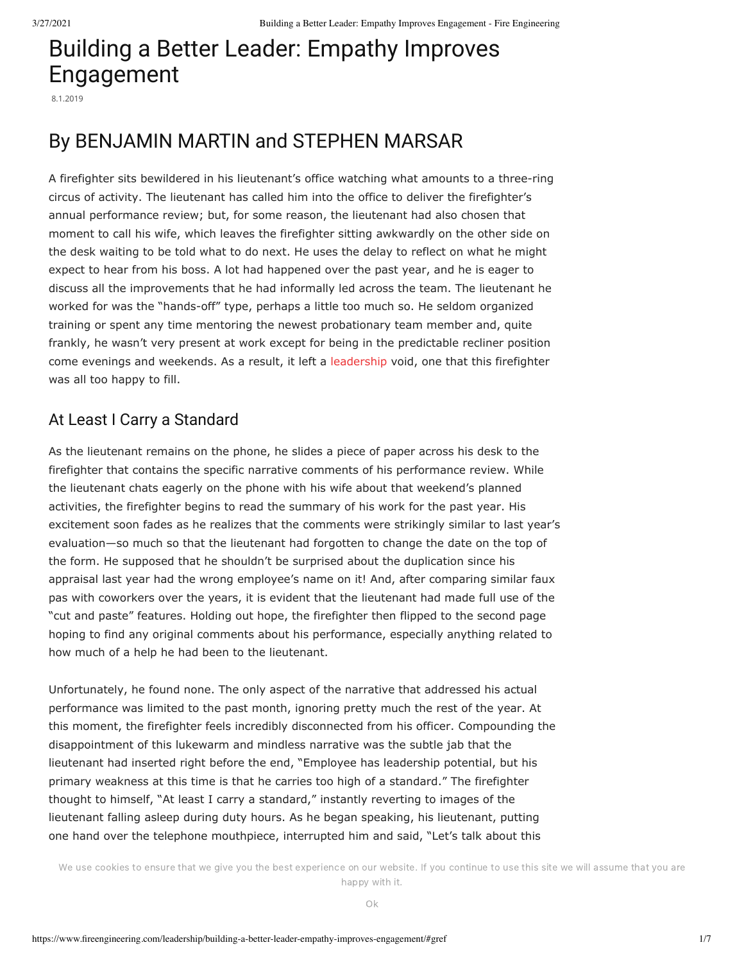# Building a Better Leader: Empathy Improves Engagement

8.1.2019

## By BENJAMIN MARTIN and STEPHEN MARSAR

A firefighter sits bewildered in his lieutenant's office watching what amounts to a three-ring circus of activity. The lieutenant has called him into the office to deliver the firefighter's annual performance review; but, for some reason, the lieutenant had also chosen that moment to call his wife, which leaves the firefighter sitting awkwardly on the other side on the desk waiting to be told what to do next. He uses the delay to reflect on what he might expect to hear from his boss. A lot had happened over the past year, and he is eager to discuss all the improvements that he had informally led across the team. The lieutenant he worked for was the "hands-off" type, perhaps a little too much so. He seldom organized training or spent any time mentoring the newest probationary team member and, quite frankly, he wasn't very present at work except for being in the predictable recliner position come evenings and weekends. As a result, it left a [leadership](https://www.fireengineering.com/2019/07/01/357229/leadership-fundamentals-anyone-can-lead/) void, one that this firefighter was all too happy to fill.

### At Least I Carry a Standard

As the lieutenant remains on the phone, he slides a piece of paper across his desk to the firefighter that contains the specific narrative comments of his performance review. While the lieutenant chats eagerly on the phone with his wife about that weekend's planned activities, the firefighter begins to read the summary of his work for the past year. His excitement soon fades as he realizes that the comments were strikingly similar to last year's evaluation—so much so that the lieutenant had forgotten to change the date on the top of the form. He supposed that he shouldn't be surprised about the duplication since his appraisal last year had the wrong employee's name on it! And, after comparing similar faux pas with coworkers over the years, it is evident that the lieutenant had made full use of the "cut and paste" features. Holding out hope, the firefighter then flipped to the second page hoping to find any original comments about his performance, especially anything related to how much of a help he had been to the lieutenant.

Unfortunately, he found none. The only aspect of the narrative that addressed his actual performance was limited to the past month, ignoring pretty much the rest of the year. At this moment, the firefighter feels incredibly disconnected from his officer. Compounding the disappointment of this lukewarm and mindless narrative was the subtle jab that the lieutenant had inserted right before the end, "Employee has leadership potential, but his primary weakness at this time is that he carries too high of a standard." The firefighter thought to himself, "At least I carry a standard," instantly reverting to images of the lieutenant falling asleep during duty hours. As he began speaking, his lieutenant, putting one hand over the telephone mouthpiece, interrupted him and said, "Let's talk about this

We use cookies to ensure that we give you the best experience on our website. If you continue to use this site we will assume that you are  $\mathcal{L}_{\text{ref}}$  is get caught up on that the that that the theorem of  $\mathcal{L}_{\text{ref}}$  meets happy with it.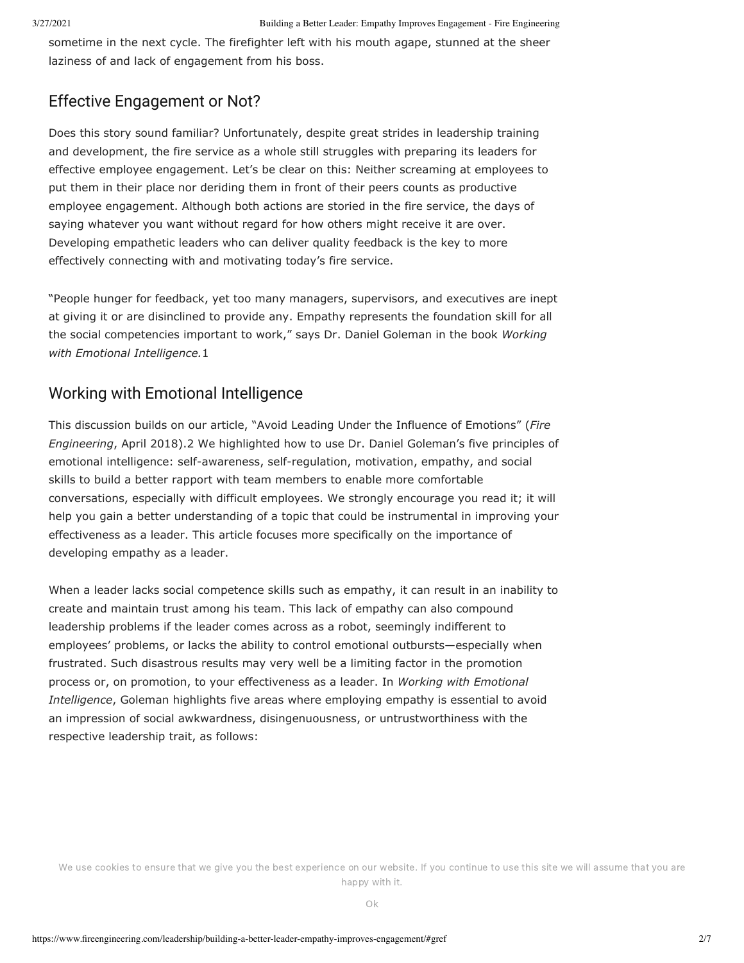sometime in the next cycle. The firefighter left with his mouth agape, stunned at the sheer laziness of and lack of engagement from his boss.

### Effective Engagement or Not?

Does this story sound familiar? Unfortunately, despite great strides in leadership training and development, the fire service as a whole still struggles with preparing its leaders for effective employee engagement. Let's be clear on this: Neither screaming at employees to put them in their place nor deriding them in front of their peers counts as productive employee engagement. Although both actions are storied in the fire service, the days of saying whatever you want without regard for how others might receive it are over. Developing empathetic leaders who can deliver quality feedback is the key to more effectively connecting with and motivating today's fire service.

"People hunger for feedback, yet too many managers, supervisors, and executives are inept at giving it or are disinclined to provide any. Empathy represents the foundation skill for all the social competencies important to work," says Dr. Daniel Goleman in the book *Working with Emotional Intelligence.*1

### Working with Emotional Intelligence

This discussion builds on our article, "Avoid Leading Under the Influence of Emotions" (*Fire Engineering*, April 2018).2 We highlighted how to use Dr. Daniel Goleman's five principles of emotional intelligence: self-awareness, self-regulation, motivation, empathy, and social skills to build a better rapport with team members to enable more comfortable conversations, especially with difficult employees. We strongly encourage you read it; it will help you gain a better understanding of a topic that could be instrumental in improving your effectiveness as a leader. This article focuses more specifically on the importance of developing empathy as a leader.

When a leader lacks social competence skills such as empathy, it can result in an inability to create and maintain trust among his team. This lack of empathy can also compound leadership problems if the leader comes across as a robot, seemingly indifferent to employees' problems, or lacks the ability to control emotional outbursts—especially when frustrated. Such disastrous results may very well be a limiting factor in the promotion process or, on promotion, to your effectiveness as a leader. In *Working with Emotional Intelligence*, Goleman highlights five areas where employing empathy is essential to avoid an impression of social awkwardness, disingenuousness, or untrustworthiness with the respective leadership trait, as follows: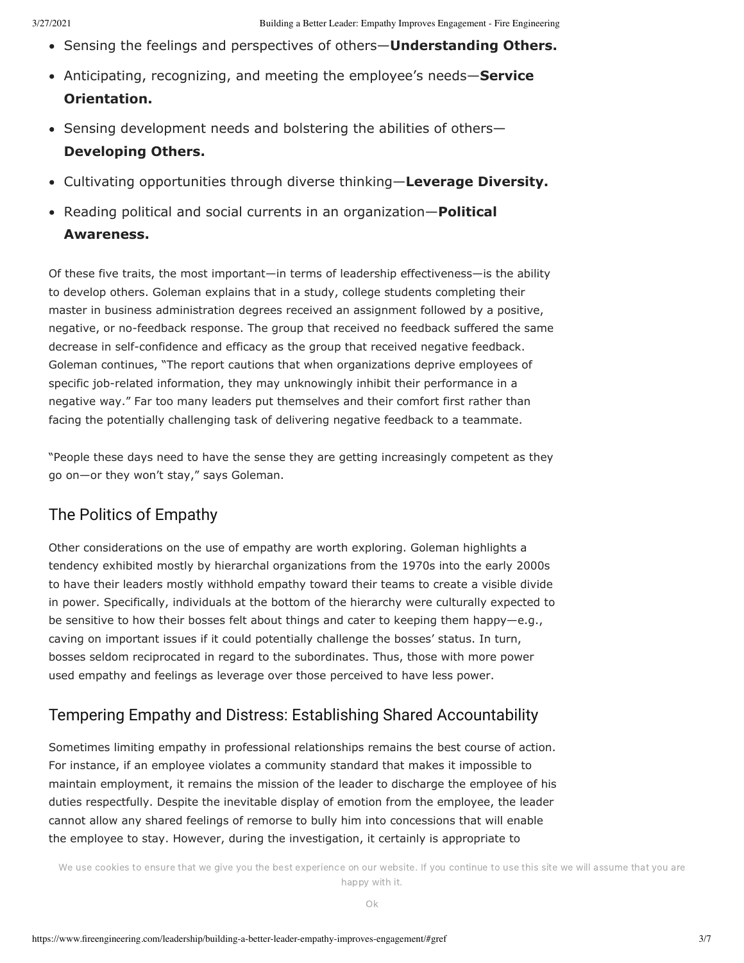- Sensing the feelings and perspectives of others—**Understanding Others.**
- Anticipating, recognizing, and meeting the employee's needs—**Service Orientation.**
- Sensing development needs and bolstering the abilities of others-**Developing Others.**
- Cultivating opportunities through diverse thinking—**Leverage Diversity.**
- Reading political and social currents in an organization—**Political Awareness.**

Of these five traits, the most important—in terms of leadership effectiveness—is the ability to develop others. Goleman explains that in a study, college students completing their master in business administration degrees received an assignment followed by a positive, negative, or no-feedback response. The group that received no feedback suffered the same decrease in self-confidence and efficacy as the group that received negative feedback. Goleman continues, "The report cautions that when organizations deprive employees of specific job-related information, they may unknowingly inhibit their performance in a negative way." Far too many leaders put themselves and their comfort first rather than facing the potentially challenging task of delivering negative feedback to a teammate.

"People these days need to have the sense they are getting increasingly competent as they go on—or they won't stay," says Goleman.

### The Politics of Empathy

Other considerations on the use of empathy are worth exploring. Goleman highlights a tendency exhibited mostly by hierarchal organizations from the 1970s into the early 2000s to have their leaders mostly withhold empathy toward their teams to create a visible divide in power. Specifically, individuals at the bottom of the hierarchy were culturally expected to be sensitive to how their bosses felt about things and cater to keeping them happy—e.g., caving on important issues if it could potentially challenge the bosses' status. In turn, bosses seldom reciprocated in regard to the subordinates. Thus, those with more power used empathy and feelings as leverage over those perceived to have less power.

### Tempering Empathy and Distress: Establishing Shared Accountability

Sometimes limiting empathy in professional relationships remains the best course of action. For instance, if an employee violates a community standard that makes it impossible to maintain employment, it remains the mission of the leader to discharge the employee of his duties respectfully. Despite the inevitable display of emotion from the employee, the leader cannot allow any shared feelings of remorse to bully him into concessions that will enable the employee to stay. However, during the investigation, it certainly is appropriate to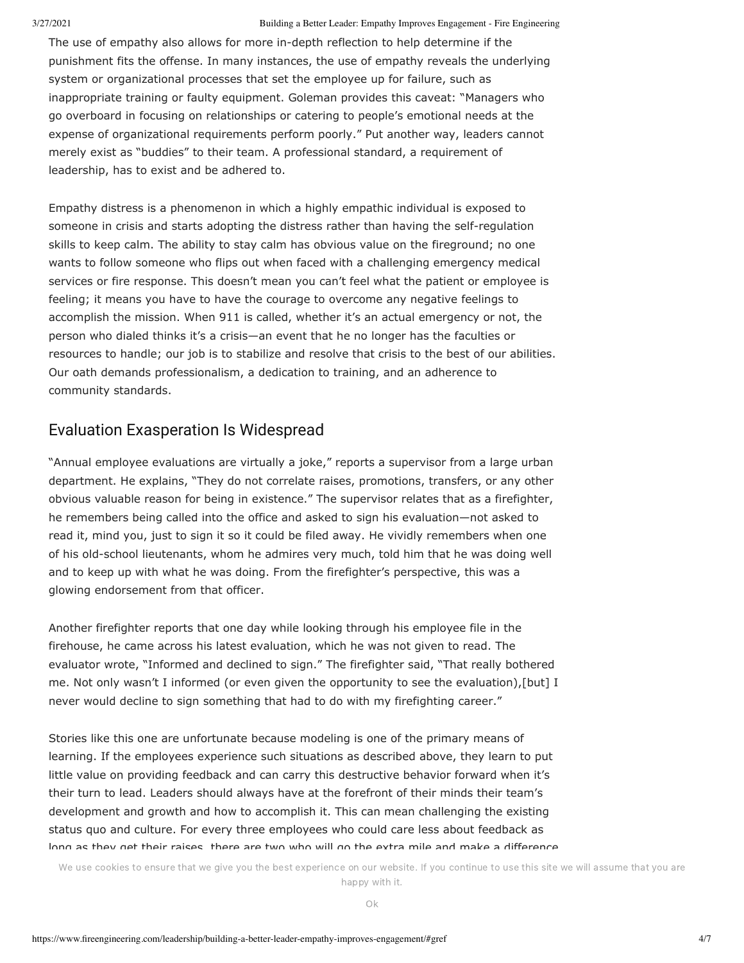#### 3/27/2021 Building a Better Leader: Empathy Improves Engagement - Fire Engineering

The use of empathy also allows for more in-depth reflection to help determine if the punishment fits the offense. In many instances, the use of empathy reveals the underlying system or organizational processes that set the employee up for failure, such as inappropriate training or faulty equipment. Goleman provides this caveat: "Managers who go overboard in focusing on relationships or catering to people's emotional needs at the expense of organizational requirements perform poorly." Put another way, leaders cannot merely exist as "buddies" to their team. A professional standard, a requirement of leadership, has to exist and be adhered to.

Empathy distress is a phenomenon in which a highly empathic individual is exposed to someone in crisis and starts adopting the distress rather than having the self-regulation skills to keep calm. The ability to stay calm has obvious value on the fireground; no one wants to follow someone who flips out when faced with a challenging emergency medical services or fire response. This doesn't mean you can't feel what the patient or employee is feeling; it means you have to have the courage to overcome any negative feelings to accomplish the mission. When 911 is called, whether it's an actual emergency or not, the person who dialed thinks it's a crisis—an event that he no longer has the faculties or resources to handle; our job is to stabilize and resolve that crisis to the best of our abilities. Our oath demands professionalism, a dedication to training, and an adherence to community standards.

### Evaluation Exasperation Is Widespread

"Annual employee evaluations are virtually a joke," reports a supervisor from a large urban department. He explains, "They do not correlate raises, promotions, transfers, or any other obvious valuable reason for being in existence." The supervisor relates that as a firefighter, he remembers being called into the office and asked to sign his evaluation—not asked to read it, mind you, just to sign it so it could be filed away. He vividly remembers when one of his old-school lieutenants, whom he admires very much, told him that he was doing well and to keep up with what he was doing. From the firefighter's perspective, this was a glowing endorsement from that officer.

Another firefighter reports that one day while looking through his employee file in the firehouse, he came across his latest evaluation, which he was not given to read. The evaluator wrote, "Informed and declined to sign." The firefighter said, "That really bothered me. Not only wasn't I informed (or even given the opportunity to see the evaluation),[but] I never would decline to sign something that had to do with my firefighting career."

Stories like this one are unfortunate because modeling is one of the primary means of learning. If the employees experience such situations as described above, they learn to put little value on providing feedback and can carry this destructive behavior forward when it's their turn to lead. Leaders should always have at the forefront of their minds their team's development and growth and how to accomplish it. This can mean challenging the existing status quo and culture. For every three employees who could care less about feedback as long as they get their raises, there are two who will go the extra mile and make a difference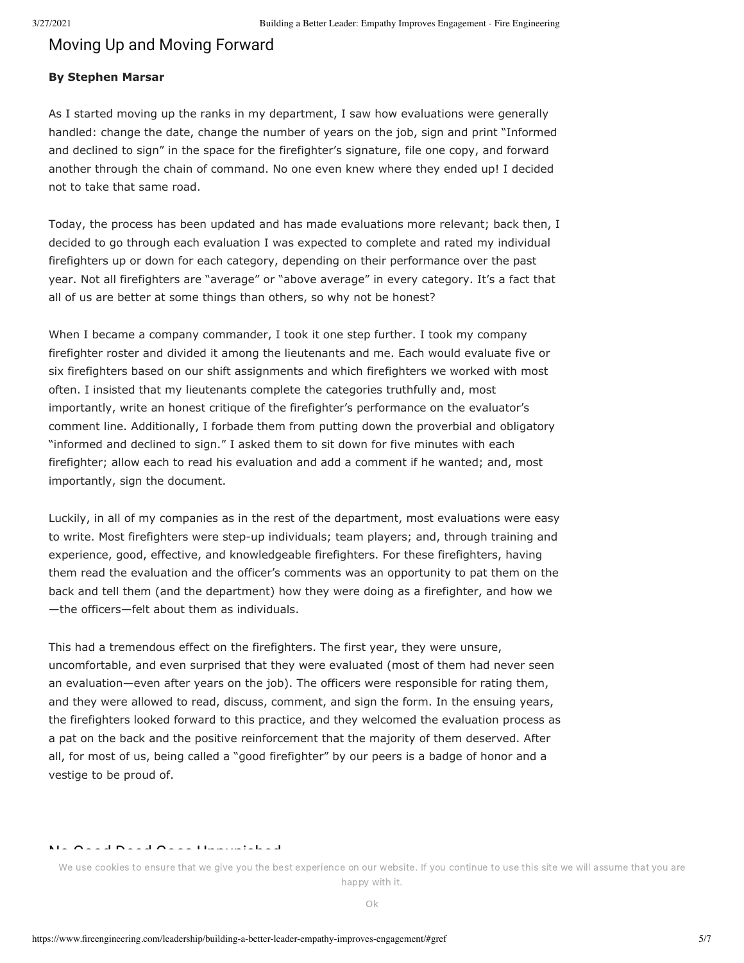#### Moving Up and Moving Forward

#### **By Stephen Marsar**

As I started moving up the ranks in my department, I saw how evaluations were generally handled: change the date, change the number of years on the job, sign and print "Informed and declined to sign" in the space for the firefighter's signature, file one copy, and forward another through the chain of command. No one even knew where they ended up! I decided not to take that same road.

Today, the process has been updated and has made evaluations more relevant; back then, I decided to go through each evaluation I was expected to complete and rated my individual firefighters up or down for each category, depending on their performance over the past year. Not all firefighters are "average" or "above average" in every category. It's a fact that all of us are better at some things than others, so why not be honest?

When I became a company commander, I took it one step further. I took my company firefighter roster and divided it among the lieutenants and me. Each would evaluate five or six firefighters based on our shift assignments and which firefighters we worked with most often. I insisted that my lieutenants complete the categories truthfully and, most importantly, write an honest critique of the firefighter's performance on the evaluator's comment line. Additionally, I forbade them from putting down the proverbial and obligatory "informed and declined to sign." I asked them to sit down for five minutes with each firefighter; allow each to read his evaluation and add a comment if he wanted; and, most importantly, sign the document.

Luckily, in all of my companies as in the rest of the department, most evaluations were easy to write. Most firefighters were step-up individuals; team players; and, through training and experience, good, effective, and knowledgeable firefighters. For these firefighters, having them read the evaluation and the officer's comments was an opportunity to pat them on the back and tell them (and the department) how they were doing as a firefighter, and how we —the officers—felt about them as individuals.

This had a tremendous effect on the firefighters. The first year, they were unsure, uncomfortable, and even surprised that they were evaluated (most of them had never seen an evaluation—even after years on the job). The officers were responsible for rating them, and they were allowed to read, discuss, comment, and sign the form. In the ensuing years, the firefighters looked forward to this practice, and they welcomed the evaluation process as a pat on the back and the positive reinforcement that the majority of them deserved. After all, for most of us, being called a "good firefighter" by our peers is a badge of honor and a vestige to be proud of.

#### No Good Deed Goes Unpunished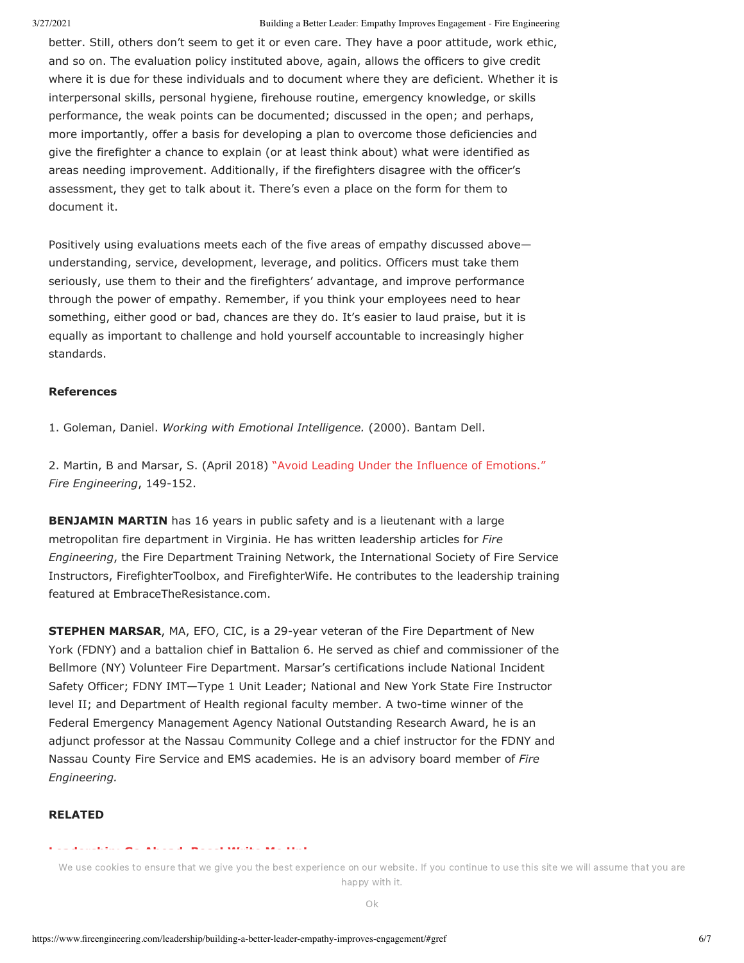better. Still, others don't seem to get it or even care. They have a poor attitude, work ethic, and so on. The evaluation policy instituted above, again, allows the officers to give credit where it is due for these individuals and to document where they are deficient. Whether it is interpersonal skills, personal hygiene, firehouse routine, emergency knowledge, or skills performance, the weak points can be documented; discussed in the open; and perhaps, more importantly, offer a basis for developing a plan to overcome those deficiencies and give the firefighter a chance to explain (or at least think about) what were identified as areas needing improvement. Additionally, if the firefighters disagree with the officer's assessment, they get to talk about it. There's even a place on the form for them to document it.

Positively using evaluations meets each of the five areas of empathy discussed above understanding, service, development, leverage, and politics. Officers must take them seriously, use them to their and the firefighters' advantage, and improve performance through the power of empathy. Remember, if you think your employees need to hear something, either good or bad, chances are they do. It's easier to laud praise, but it is equally as important to challenge and hold yourself accountable to increasingly higher standards.

#### **References**

1. Goleman, Daniel. *Working with Emotional Intelligence.* (2000). Bantam Dell.

2. Martin, B and Marsar, S. (April 2018) ["Avoid Leading Under the Influence of Emotions."](https://www.fireengineering.com/2018/04/01/253152/avoid-leading-under-the-influence-of-emotions/) *Fire Engineering*, 149-152.

**BENJAMIN MARTIN** has 16 years in public safety and is a lieutenant with a large metropolitan fire department in Virginia. He has written leadership articles for *Fire Engineering*, the Fire Department Training Network, the International Society of Fire Service Instructors, FirefighterToolbox, and FirefighterWife. He contributes to the leadership training featured at EmbraceTheResistance.com.

**STEPHEN MARSAR**, MA, EFO, CIC, is a 29-year veteran of the Fire Department of New York (FDNY) and a battalion chief in Battalion 6. He served as chief and commissioner of the Bellmore (NY) Volunteer Fire Department. Marsar's certifications include National Incident Safety Officer; FDNY IMT—Type 1 Unit Leader; National and New York State Fire Instructor level II; and Department of Health regional faculty member. A two-time winner of the Federal Emergency Management Agency National Outstanding Research Award, he is an adjunct professor at the Nassau Community College and a chief instructor for the FDNY and Nassau County Fire Service and EMS academies. He is an advisory board member of *Fire Engineering.*

#### **RELATED**

#### **[Leadership: Go Ahead, Boss! Write Me Up!](https://www.fireengineering.com/2019/07/01/357947/leadership-go-ahead-boss-write-me-up/)**